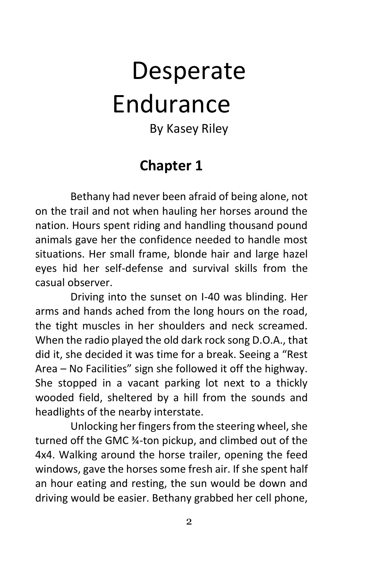## Desperate Endurance

By Kasey Riley

## **Chapter 1**

Bethany had never been afraid of being alone, not on the trail and not when hauling her horses around the nation. Hours spent riding and handling thousand pound animals gave her the confidence needed to handle most situations. Her small frame, blonde hair and large hazel eyes hid her self-defense and survival skills from the casual observer.

Driving into the sunset on I-40 was blinding. Her arms and hands ached from the long hours on the road, the tight muscles in her shoulders and neck screamed. When the radio played the old dark rock song D.O.A., that did it, she decided it was time for a break. Seeing a "Rest Area – No Facilities" sign she followed it off the highway. She stopped in a vacant parking lot next to a thickly wooded field, sheltered by a hill from the sounds and headlights of the nearby interstate.

Unlocking her fingers from the steering wheel, she turned off the GMC ¾-ton pickup, and climbed out of the 4x4. Walking around the horse trailer, opening the feed windows, gave the horses some fresh air. If she spent half an hour eating and resting, the sun would be down and driving would be easier. Bethany grabbed her cell phone,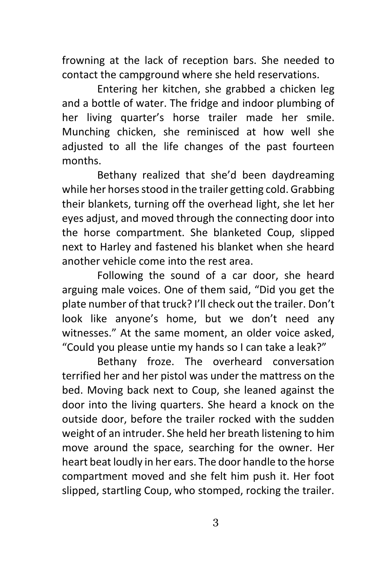frowning at the lack of reception bars. She needed to contact the campground where she held reservations.

Entering her kitchen, she grabbed a chicken leg and a bottle of water. The fridge and indoor plumbing of her living quarter's horse trailer made her smile. Munching chicken, she reminisced at how well she adjusted to all the life changes of the past fourteen months.

Bethany realized that she'd been daydreaming while her horses stood in the trailer getting cold. Grabbing their blankets, turning off the overhead light, she let her eyes adjust, and moved through the connecting door into the horse compartment. She blanketed Coup, slipped next to Harley and fastened his blanket when she heard another vehicle come into the rest area.

Following the sound of a car door, she heard arguing male voices. One of them said, "Did you get the plate number of that truck? I'll check out the trailer. Don't look like anyone's home, but we don't need any witnesses." At the same moment, an older voice asked, "Could you please untie my hands so I can take a leak?"

Bethany froze. The overheard conversation terrified her and her pistol was under the mattress on the bed. Moving back next to Coup, she leaned against the door into the living quarters. She heard a knock on the outside door, before the trailer rocked with the sudden weight of an intruder. She held her breath listening to him move around the space, searching for the owner. Her heart beat loudly in her ears. The door handle to the horse compartment moved and she felt him push it. Her foot slipped, startling Coup, who stomped, rocking the trailer.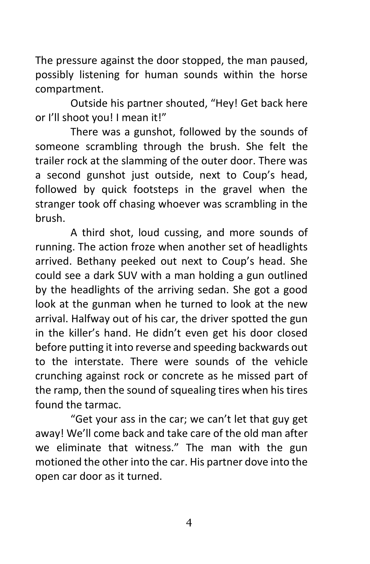The pressure against the door stopped, the man paused, possibly listening for human sounds within the horse compartment.

Outside his partner shouted, "Hey! Get back here or I'll shoot you! I mean it!"

There was a gunshot, followed by the sounds of someone scrambling through the brush. She felt the trailer rock at the slamming of the outer door. There was a second gunshot just outside, next to Coup's head, followed by quick footsteps in the gravel when the stranger took off chasing whoever was scrambling in the brush.

A third shot, loud cussing, and more sounds of running. The action froze when another set of headlights arrived. Bethany peeked out next to Coup's head. She could see a dark SUV with a man holding a gun outlined by the headlights of the arriving sedan. She got a good look at the gunman when he turned to look at the new arrival. Halfway out of his car, the driver spotted the gun in the killer's hand. He didn't even get his door closed before putting it into reverse and speeding backwards out to the interstate. There were sounds of the vehicle crunching against rock or concrete as he missed part of the ramp, then the sound of squealing tires when his tires found the tarmac.

"Get your ass in the car; we can't let that guy get away! We'll come back and take care of the old man after we eliminate that witness." The man with the gun motioned the other into the car. His partner dove into the open car door as it turned.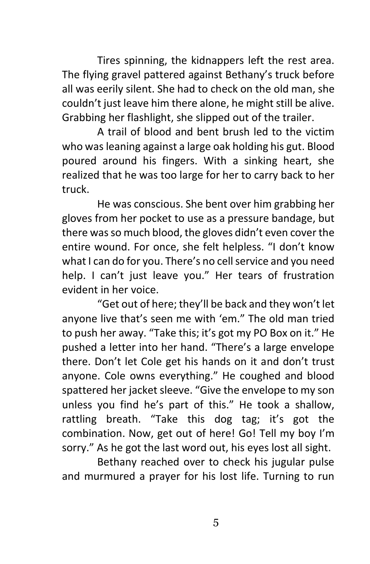Tires spinning, the kidnappers left the rest area. The flying gravel pattered against Bethany's truck before all was eerily silent. She had to check on the old man, she couldn't just leave him there alone, he might still be alive. Grabbing her flashlight, she slipped out of the trailer.

A trail of blood and bent brush led to the victim who was leaning against a large oak holding his gut. Blood poured around his fingers. With a sinking heart, she realized that he was too large for her to carry back to her truck.

He was conscious. She bent over him grabbing her gloves from her pocket to use as a pressure bandage, but there was so much blood, the gloves didn't even cover the entire wound. For once, she felt helpless. "I don't know what I can do for you. There's no cell service and you need help. I can't just leave you." Her tears of frustration evident in her voice.

"Get out of here; they'll be back and they won't let anyone live that's seen me with 'em." The old man tried to push her away. "Take this; it's got my PO Box on it." He pushed a letter into her hand. "There's a large envelope there. Don't let Cole get his hands on it and don't trust anyone. Cole owns everything." He coughed and blood spattered her jacket sleeve. "Give the envelope to my son unless you find he's part of this." He took a shallow, rattling breath. "Take this dog tag; it's got the combination. Now, get out of here! Go! Tell my boy I'm sorry." As he got the last word out, his eyes lost all sight.

Bethany reached over to check his jugular pulse and murmured a prayer for his lost life. Turning to run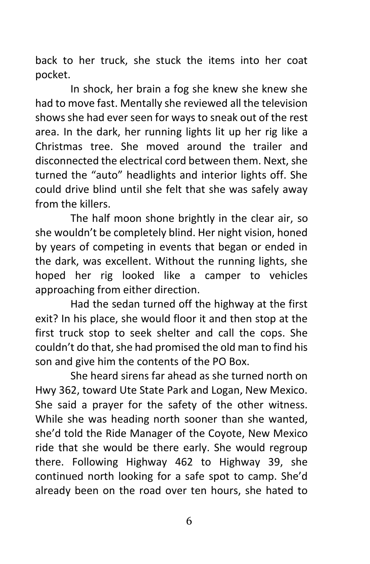back to her truck, she stuck the items into her coat pocket.

In shock, her brain a fog she knew she knew she had to move fast. Mentally she reviewed all the television shows she had ever seen for ways to sneak out of the rest area. In the dark, her running lights lit up her rig like a Christmas tree. She moved around the trailer and disconnected the electrical cord between them. Next, she turned the "auto" headlights and interior lights off. She could drive blind until she felt that she was safely away from the killers.

The half moon shone brightly in the clear air, so she wouldn't be completely blind. Her night vision, honed by years of competing in events that began or ended in the dark, was excellent. Without the running lights, she hoped her rig looked like a camper to vehicles approaching from either direction.

Had the sedan turned off the highway at the first exit? In his place, she would floor it and then stop at the first truck stop to seek shelter and call the cops. She couldn't do that, she had promised the old man to find his son and give him the contents of the PO Box.

She heard sirens far ahead as she turned north on Hwy 362, toward Ute State Park and Logan, New Mexico. She said a prayer for the safety of the other witness. While she was heading north sooner than she wanted, she'd told the Ride Manager of the Coyote, New Mexico ride that she would be there early. She would regroup there. Following Highway 462 to Highway 39, she continued north looking for a safe spot to camp. She'd already been on the road over ten hours, she hated to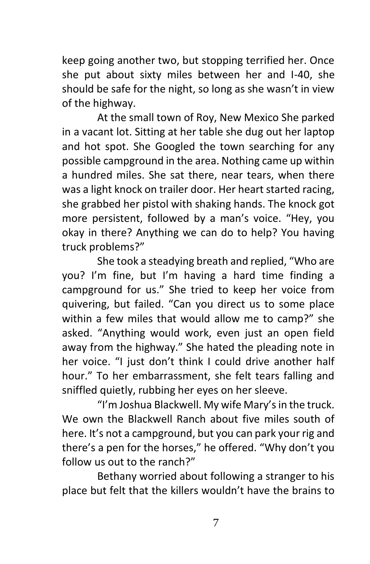keep going another two, but stopping terrified her. Once she put about sixty miles between her and I-40, she should be safe for the night, so long as she wasn't in view of the highway.

At the small town of Roy, New Mexico She parked in a vacant lot. Sitting at her table she dug out her laptop and hot spot. She Googled the town searching for any possible campground in the area. Nothing came up within a hundred miles. She sat there, near tears, when there was a light knock on trailer door. Her heart started racing, she grabbed her pistol with shaking hands. The knock got more persistent, followed by a man's voice. "Hey, you okay in there? Anything we can do to help? You having truck problems?"

She took a steadying breath and replied, "Who are you? I'm fine, but I'm having a hard time finding a campground for us." She tried to keep her voice from quivering, but failed. "Can you direct us to some place within a few miles that would allow me to camp?" she asked. "Anything would work, even just an open field away from the highway." She hated the pleading note in her voice. "I just don't think I could drive another half hour." To her embarrassment, she felt tears falling and sniffled quietly, rubbing her eyes on her sleeve.

"I'm Joshua Blackwell. My wife Mary's in the truck. We own the Blackwell Ranch about five miles south of here. It's not a campground, but you can park your rig and there's a pen for the horses," he offered. "Why don't you follow us out to the ranch?"

Bethany worried about following a stranger to his place but felt that the killers wouldn't have the brains to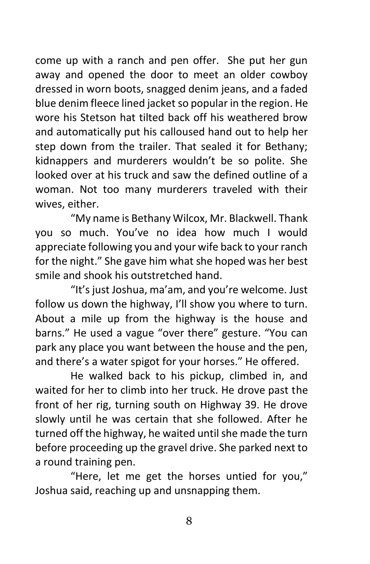come up with a ranch and pen offer. She put her gun away and opened the door to meet an older cowboy dressed in worn boots, snagged denim jeans, and a faded blue denim fleece lined jacket so popular in the region. He wore his Stetson hat tilted back off his weathered brow and automatically put his calloused hand out to help her step down from the trailer. That sealed it for Bethany; kidnappers and murderers wouldn't be so polite. She looked over at his truck and saw the defined outline of a woman. Not too many murderers traveled with their wives, either.

"My name is Bethany Wilcox, Mr. Blackwell. Thank you so much. You've no idea how much I would appreciate following you and your wife back to your ranch for the night." She gave him what she hoped was her best smile and shook his outstretched hand.

"It's just Joshua, ma'am, and you're welcome. Just follow us down the highway, I'll show you where to turn. About a mile up from the highway is the house and barns." He used a vague "over there" gesture. "You can park any place you want between the house and the pen, and there's a water spigot for your horses." He offered.

He walked back to his pickup, climbed in, and waited for her to climb into her truck. He drove past the front of her rig, turning south on Highway 39. He drove slowly until he was certain that she followed. After he turned off the highway, he waited until she made the turn before proceeding up the gravel drive. She parked next to a round training pen.

"Here, let me get the horses untied for you," Joshua said, reaching up and unsnapping them.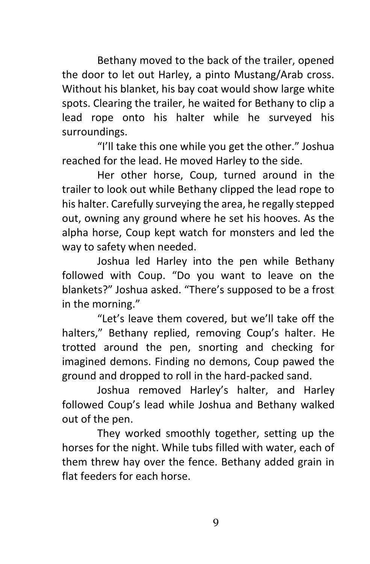Bethany moved to the back of the trailer, opened the door to let out Harley, a pinto Mustang/Arab cross. Without his blanket, his bay coat would show large white spots. Clearing the trailer, he waited for Bethany to clip a lead rope onto his halter while he surveyed his surroundings.

"I'll take this one while you get the other." Joshua reached for the lead. He moved Harley to the side.

Her other horse, Coup, turned around in the trailer to look out while Bethany clipped the lead rope to his halter. Carefully surveying the area, he regally stepped out, owning any ground where he set his hooves. As the alpha horse, Coup kept watch for monsters and led the way to safety when needed.

Joshua led Harley into the pen while Bethany followed with Coup. "Do you want to leave on the blankets?" Joshua asked. "There's supposed to be a frost in the morning."

"Let's leave them covered, but we'll take off the halters," Bethany replied, removing Coup's halter. He trotted around the pen, snorting and checking for imagined demons. Finding no demons, Coup pawed the ground and dropped to roll in the hard-packed sand.

Joshua removed Harley's halter, and Harley followed Coup's lead while Joshua and Bethany walked out of the pen.

They worked smoothly together, setting up the horses for the night. While tubs filled with water, each of them threw hay over the fence. Bethany added grain in flat feeders for each horse.